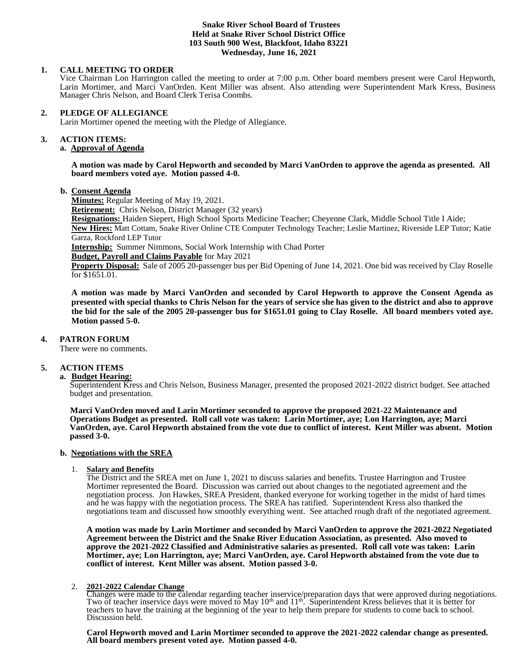## **Snake River School Board of Trustees Held at Snake River School District Office 103 South 900 West, Blackfoot, Idaho 83221 Wednesday, June 16, 2021**

# **1. CALL MEETING TO ORDER**

Vice Chairman Lon Harrington called the meeting to order at 7:00 p.m. Other board members present were Carol Hepworth, Larin Mortimer, and Marci VanOrden. Kent Miller was absent. Also attending were Superintendent Mark Kress, Business Manager Chris Nelson, and Board Clerk Terisa Coombs.

## **2. PLEDGE OF ALLEGIANCE**

Larin Mortimer opened the meeting with the Pledge of Allegiance.

#### 3. **3. ACTION ITEMS:**

# **a. Approval of Agenda**

**A motion was made by Carol Hepworth and seconded by Marci VanOrden to approve the agenda as presented. All board members voted aye. Motion passed 4-0.**

#### **b. Consent Agenda**

**Minutes:** Regular Meeting of May 19, 2021.

**Retirement:** Chris Nelson, District Manager (32 years)

**Resignations:** Haiden Siepert, High School Sports Medicine Teacher; Cheyenne Clark, Middle School Title I Aide;

**New Hires:** Matt Cottam, Snake River Online CTE Computer Technology Teacher; Leslie Martinez, Riverside LEP Tutor; Katie Garza, Rockford LEP Tutor

**Internship:** Summer Nimmons, Social Work Internship with Chad Porter

**Budget, Payroll and Claims Payable** for May 2021

**Property Disposal:** Sale of 2005 20-passenger bus per Bid Opening of June 14, 2021. One bid was received by Clay Roselle for \$1651.01.

**A motion was made by Marci VanOrden and seconded by Carol Hepworth to approve the Consent Agenda as presented with special thanks to Chris Nelson for the years of service she has given to the district and also to approve the bid for the sale of the 2005 20-passenger bus for \$1651.01 going to Clay Roselle. All board members voted aye. Motion passed 5-0.** 

# **4. PATRON FORUM**

There were no comments.

# **5. ACTION ITEMS**

# **a. Budget Hearing:**

Superintendent Kress and Chris Nelson, Business Manager, presented the proposed 2021-2022 district budget. See attached budget and presentation.

 **Marci VanOrden moved and Larin Mortimer seconded to approve the proposed 2021-22 Maintenance and Operations Budget as presented. Roll call vote was taken: Larin Mortimer, aye; Lon Harrington, aye; Marci VanOrden, aye. Carol Hepworth abstained from the vote due to conflict of interest. Kent Miller was absent. Motion passed 3-0.** 

# **b. Negotiations with the SREA**

#### 1. **Salary and Benefits**

The District and the SREA met on June 1, 2021 to discuss salaries and benefits. Trustee Harrington and Trustee Mortimer represented the Board. Discussion was carried out about changes to the negotiated agreement and the negotiation process. Jon Hawkes, SREA President, thanked everyone for working together in the midst of hard times and he was happy with the negotiation process. The SREA has ratified. Superintendent Kress also thanked the negotiations team and discussed how smoothly everything went. See attached rough draft of the negotiated agreement.

**A motion was made by Larin Mortimer and seconded by Marci VanOrden to approve the 2021-2022 Negotiated Agreement between the District and the Snake River Education Association, as presented. Also moved to approve the 2021-2022 Classified and Administrative salaries as presented. Roll call vote was taken: Larin Mortimer, aye; Lon Harrington, aye; Marci VanOrden, aye. Carol Hepworth abstained from the vote due to conflict of interest. Kent Miller was absent. Motion passed 3-0.** 

# 2. **2021-2022 Calendar Change**

Changes were made to the calendar regarding teacher inservice/preparation days that were approved during negotiations. Two of teacher inservice days were moved to May  $10^{th}$  and  $11^{th}$ . Superintendent Kress believes that it is better for teachers to have the training at the beginning of the year to help them prepare for students to come back to school. Discussion held.

**Carol Hepworth moved and Larin Mortimer seconded to approve the 2021-2022 calendar change as presented. All board members present voted aye. Motion passed 4-0.**